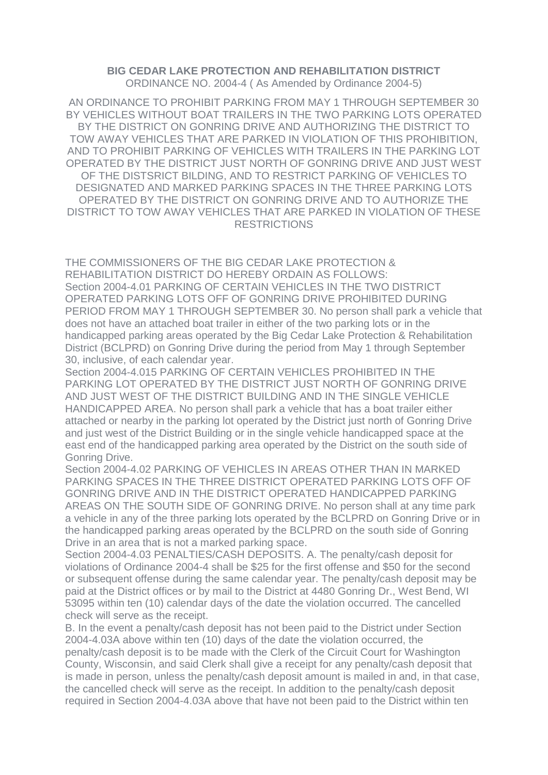## **BIG CEDAR LAKE PROTECTION AND REHABILITATION DISTRICT** ORDINANCE NO. 2004-4 ( As Amended by Ordinance 2004-5)

AN ORDINANCE TO PROHIBIT PARKING FROM MAY 1 THROUGH SEPTEMBER 30 BY VEHICLES WITHOUT BOAT TRAILERS IN THE TWO PARKING LOTS OPERATED BY THE DISTRICT ON GONRING DRIVE AND AUTHORIZING THE DISTRICT TO TOW AWAY VEHICLES THAT ARE PARKED IN VIOLATION OF THIS PROHIBITION, AND TO PROHIBIT PARKING OF VEHICLES WITH TRAILERS IN THE PARKING LOT OPERATED BY THE DISTRICT JUST NORTH OF GONRING DRIVE AND JUST WEST OF THE DISTSRICT BILDING, AND TO RESTRICT PARKING OF VEHICLES TO DESIGNATED AND MARKED PARKING SPACES IN THE THREE PARKING LOTS OPERATED BY THE DISTRICT ON GONRING DRIVE AND TO AUTHORIZE THE DISTRICT TO TOW AWAY VEHICLES THAT ARE PARKED IN VIOLATION OF THESE **RESTRICTIONS** 

THE COMMISSIONERS OF THE BIG CEDAR LAKE PROTECTION & REHABILITATION DISTRICT DO HEREBY ORDAIN AS FOLLOWS: Section 2004-4.01 PARKING OF CERTAIN VEHICLES IN THE TWO DISTRICT OPERATED PARKING LOTS OFF OF GONRING DRIVE PROHIBITED DURING PERIOD FROM MAY 1 THROUGH SEPTEMBER 30. No person shall park a vehicle that does not have an attached boat trailer in either of the two parking lots or in the handicapped parking areas operated by the Big Cedar Lake Protection & Rehabilitation District (BCLPRD) on Gonring Drive during the period from May 1 through September 30, inclusive, of each calendar year.

Section 2004-4.015 PARKING OF CERTAIN VEHICLES PROHIBITED IN THE PARKING LOT OPERATED BY THE DISTRICT JUST NORTH OF GONRING DRIVE AND JUST WEST OF THE DISTRICT BUILDING AND IN THE SINGLE VEHICLE HANDICAPPED AREA. No person shall park a vehicle that has a boat trailer either attached or nearby in the parking lot operated by the District just north of Gonring Drive and just west of the District Building or in the single vehicle handicapped space at the east end of the handicapped parking area operated by the District on the south side of Gonring Drive.

Section 2004-4.02 PARKING OF VEHICLES IN AREAS OTHER THAN IN MARKED PARKING SPACES IN THE THREE DISTRICT OPERATED PARKING LOTS OFF OF GONRING DRIVE AND IN THE DISTRICT OPERATED HANDICAPPED PARKING AREAS ON THE SOUTH SIDE OF GONRING DRIVE. No person shall at any time park a vehicle in any of the three parking lots operated by the BCLPRD on Gonring Drive or in the handicapped parking areas operated by the BCLPRD on the south side of Gonring Drive in an area that is not a marked parking space.

Section 2004-4.03 PENALTIES/CASH DEPOSITS. A. The penalty/cash deposit for violations of Ordinance 2004-4 shall be \$25 for the first offense and \$50 for the second or subsequent offense during the same calendar year. The penalty/cash deposit may be paid at the District offices or by mail to the District at 4480 Gonring Dr., West Bend, WI 53095 within ten (10) calendar days of the date the violation occurred. The cancelled check will serve as the receipt.

B. In the event a penalty/cash deposit has not been paid to the District under Section 2004-4.03A above within ten (10) days of the date the violation occurred, the penalty/cash deposit is to be made with the Clerk of the Circuit Court for Washington County, Wisconsin, and said Clerk shall give a receipt for any penalty/cash deposit that is made in person, unless the penalty/cash deposit amount is mailed in and, in that case, the cancelled check will serve as the receipt. In addition to the penalty/cash deposit required in Section 2004-4.03A above that have not been paid to the District within ten